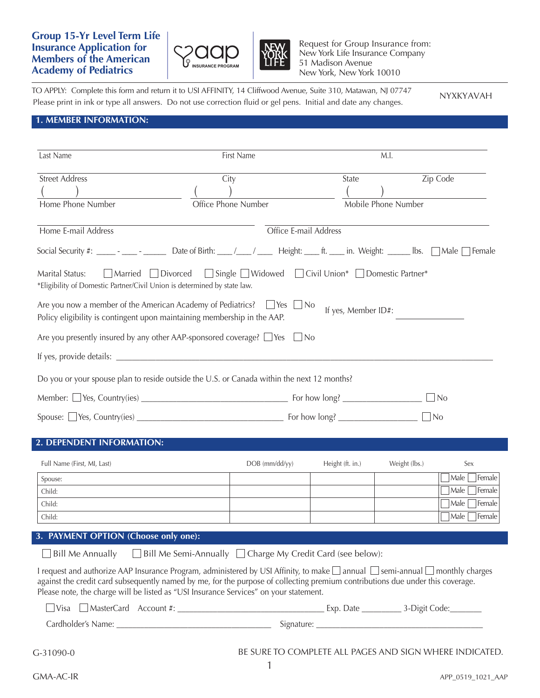# **Group 15-Yr Level Term Life Insurance Application for Members of the American Academy of Pediatrics**



Request for Group Insurance from: New York Life Insurance Company 51 Madison Avenue New York, New York 10010

TO APPLY: Complete this form and return it to USI AFFINITY, 14 Cliffwood Avenue, Suite 310, Matawan, NJ 07747 Please print in ink or type all answers. Do not use correction fluid or gel pens. Initial and date any changes. NYXKYAVAH

## **1. MEMBER INFORMATION:**

| Last Name                                                                                                       | First Name                                                                                                                                                                                                                                                                                                                                                              |                     | M.I.                |                                                    |
|-----------------------------------------------------------------------------------------------------------------|-------------------------------------------------------------------------------------------------------------------------------------------------------------------------------------------------------------------------------------------------------------------------------------------------------------------------------------------------------------------------|---------------------|---------------------|----------------------------------------------------|
| <b>Street Address</b><br>Home Phone Number                                                                      | City<br>Office Phone Number                                                                                                                                                                                                                                                                                                                                             | State               | Mobile Phone Number | Zip Code                                           |
| Home E-mail Address                                                                                             | Office E-mail Address<br>Social Security #: ___________________________Date of Birth: ____/____/ Height: _____ ft. _____ in. Weight: ______ Ibs. $\Box$ Male $\Box$ Female                                                                                                                                                                                              |                     |                     |                                                    |
| Married Divorced<br>Marital Status:<br>*Eligibility of Domestic Partner/Civil Union is determined by state law. | □ Single ■ Widowed ■ Civil Union* ■ Domestic Partner*                                                                                                                                                                                                                                                                                                                   |                     |                     |                                                    |
| Policy eligibility is contingent upon maintaining membership in the AAP.                                        | Are you now a member of the American Academy of Pediatrics? $\Box$ Yes $\Box$ No                                                                                                                                                                                                                                                                                        | If yes, Member ID#: |                     |                                                    |
|                                                                                                                 | Are you presently insured by any other AAP-sponsored coverage? $\Box$ Yes $\Box$ No                                                                                                                                                                                                                                                                                     |                     |                     |                                                    |
|                                                                                                                 |                                                                                                                                                                                                                                                                                                                                                                         |                     |                     |                                                    |
|                                                                                                                 | Do you or your spouse plan to reside outside the U.S. or Canada within the next 12 months?                                                                                                                                                                                                                                                                              |                     |                     |                                                    |
|                                                                                                                 |                                                                                                                                                                                                                                                                                                                                                                         |                     |                     | $\Box$ No                                          |
|                                                                                                                 |                                                                                                                                                                                                                                                                                                                                                                         |                     | $\Box$ No           |                                                    |
| 2. DEPENDENT INFORMATION:                                                                                       |                                                                                                                                                                                                                                                                                                                                                                         |                     |                     |                                                    |
| Full Name (First, MI, Last)                                                                                     | DOB (mm/dd/yy)                                                                                                                                                                                                                                                                                                                                                          | Height (ft. in.)    | Weight (lbs.)       | Sex                                                |
| Spouse:                                                                                                         |                                                                                                                                                                                                                                                                                                                                                                         |                     |                     | Male $\Box$ Female                                 |
| Child:                                                                                                          |                                                                                                                                                                                                                                                                                                                                                                         |                     |                     | $Male$ Female                                      |
| Child:<br>Child:                                                                                                |                                                                                                                                                                                                                                                                                                                                                                         |                     |                     | $\lceil$ Male $\lceil$<br>Female<br>Male<br>Female |
| 3. PAYMENT OPTION (Choose only one):                                                                            |                                                                                                                                                                                                                                                                                                                                                                         |                     |                     |                                                    |
| <b>Bill Me Annually</b>                                                                                         | $\Box$ Bill Me Semi-Annually $\Box$ Charge My Credit Card (see below):                                                                                                                                                                                                                                                                                                  |                     |                     |                                                    |
|                                                                                                                 | I request and authorize AAP Insurance Program, administered by USI Affinity, to make $\Box$ annual $\Box$ semi-annual $\Box$ monthly charges<br>against the credit card subsequently named by me, for the purpose of collecting premium contributions due under this coverage.<br>Please note, the charge will be listed as "USI Insurance Services" on your statement. |                     |                     |                                                    |
|                                                                                                                 |                                                                                                                                                                                                                                                                                                                                                                         |                     |                     |                                                    |
|                                                                                                                 |                                                                                                                                                                                                                                                                                                                                                                         |                     |                     |                                                    |
| $G-31090-0$                                                                                                     | BE SURE TO COMPLETE ALL PAGES AND SIGN WHERE INDICATED.<br>1                                                                                                                                                                                                                                                                                                            |                     |                     |                                                    |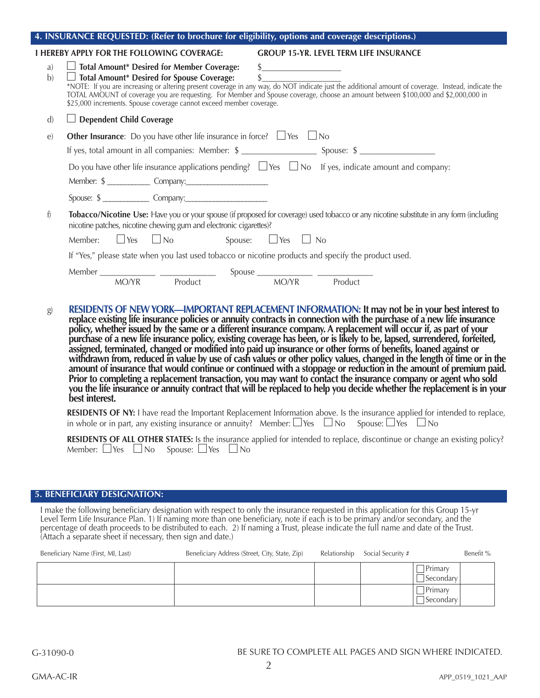| 4. INSURANCE REQUESTED: (Refer to brochure for eligibility, options and coverage descriptions.) |                                                                                                                                                                                                                                                                                                                                                                                                                                                                                                                                                                                                              |  |  |  |  |  |  |
|-------------------------------------------------------------------------------------------------|--------------------------------------------------------------------------------------------------------------------------------------------------------------------------------------------------------------------------------------------------------------------------------------------------------------------------------------------------------------------------------------------------------------------------------------------------------------------------------------------------------------------------------------------------------------------------------------------------------------|--|--|--|--|--|--|
|                                                                                                 | <b>I HEREBY APPLY FOR THE FOLLOWING COVERAGE:</b><br><b>GROUP 15-YR. LEVEL TERM LIFE INSURANCE</b>                                                                                                                                                                                                                                                                                                                                                                                                                                                                                                           |  |  |  |  |  |  |
| a)<br>b)                                                                                        | $\Box$ Total Amount* Desired for Member Coverage:<br>$\frac{1}{2}$<br>Total Amount* Desired for Spouse Coverage:<br>*NOTE: If you are increasing or altering present coverage in any way, do NOT indicate just the additional amount of coverage. Instead, indicate the<br>TOTAL AMOUNT of coverage you ar<br>\$25,000 increments. Spouse coverage cannot exceed member coverage.                                                                                                                                                                                                                            |  |  |  |  |  |  |
| $\mathbf{d}$                                                                                    | $\Box$ Dependent Child Coverage                                                                                                                                                                                                                                                                                                                                                                                                                                                                                                                                                                              |  |  |  |  |  |  |
| $\epsilon$                                                                                      | <b>Other Insurance:</b> Do you have other life insurance in force? $\Box$ Yes $\Box$ No                                                                                                                                                                                                                                                                                                                                                                                                                                                                                                                      |  |  |  |  |  |  |
|                                                                                                 |                                                                                                                                                                                                                                                                                                                                                                                                                                                                                                                                                                                                              |  |  |  |  |  |  |
|                                                                                                 | Do you have other life insurance applications pending? $\Box$ Yes $\Box$ No If yes, indicate amount and company:                                                                                                                                                                                                                                                                                                                                                                                                                                                                                             |  |  |  |  |  |  |
|                                                                                                 |                                                                                                                                                                                                                                                                                                                                                                                                                                                                                                                                                                                                              |  |  |  |  |  |  |
| f)                                                                                              | Tobacco/Nicotine Use: Have you or your spouse (if proposed for coverage) used tobacco or any nicotine substitute in any form (including<br>nicotine patches, nicotine chewing gum and electronic cigarettes)?<br>Member: $\Box$ Yes $\Box$ No $\Box$ Spouse: $\Box$ Yes $\Box$ No                                                                                                                                                                                                                                                                                                                            |  |  |  |  |  |  |
|                                                                                                 | If "Yes," please state when you last used tobacco or nicotine products and specify the product used.                                                                                                                                                                                                                                                                                                                                                                                                                                                                                                         |  |  |  |  |  |  |
|                                                                                                 |                                                                                                                                                                                                                                                                                                                                                                                                                                                                                                                                                                                                              |  |  |  |  |  |  |
|                                                                                                 | Member MO/YR Product Spouse MO/YR Product                                                                                                                                                                                                                                                                                                                                                                                                                                                                                                                                                                    |  |  |  |  |  |  |
| g)                                                                                              | RESIDENTS OF NEW YORK—IMPORTANT REPLACEMENT INFORMATION: It may not be in your best interest to<br>RESIDENTS OF NEW YORK—IMPORTANT REPLACEMENT INFORMATION: It may not be in your best interest to<br>replace existing life insurance policies or annuity contracts in connection with the purchase of a new life insurance<br>policy,<br>best interest.<br>RESIDENTS OF NY: I have read the Important Replacement Information above. Is the insurance applied for intended to replace,<br>in whole or in part, any existing insurance or annuity? Member: $\Box$ Yes $\Box$ No Spouse: $\Box$ Yes $\Box$ No |  |  |  |  |  |  |

|                                                           |  |  |  |  | RESIDENTS OF ALL OTHER STATES: Is the insurance applied for intended to replace, discontinue or change an existing policy? |  |  |
|-----------------------------------------------------------|--|--|--|--|----------------------------------------------------------------------------------------------------------------------------|--|--|
| Member: $\Box$ Yes $\Box$ No Spouse: $\Box$ Yes $\Box$ No |  |  |  |  |                                                                                                                            |  |  |

## **5. BENEFICIARY DESIGNATION:**

I make the following beneficiary designation with respect to only the insurance requested in this application for this Group 15-yr Level Term Life Insurance Plan. 1) If naming more than one beneficiary, note if each is to be primary and/or secondary, and the percentage of death proceeds to be distributed to each. 2) If naming a Trust, please indicate the full name and date of the Trust. (Attach a separate sheet if necessary, then sign and date.)

| Beneficiary Name (First, MI, Last) | Beneficiary Address (Street, City, State, Zip) | Relationship | Social Security # |                                | Benefit % |
|------------------------------------|------------------------------------------------|--------------|-------------------|--------------------------------|-----------|
|                                    |                                                |              |                   | Primary<br>$\Box$ Secondary    |           |
|                                    |                                                |              |                   | Primary<br>$\bigcap$ Secondary |           |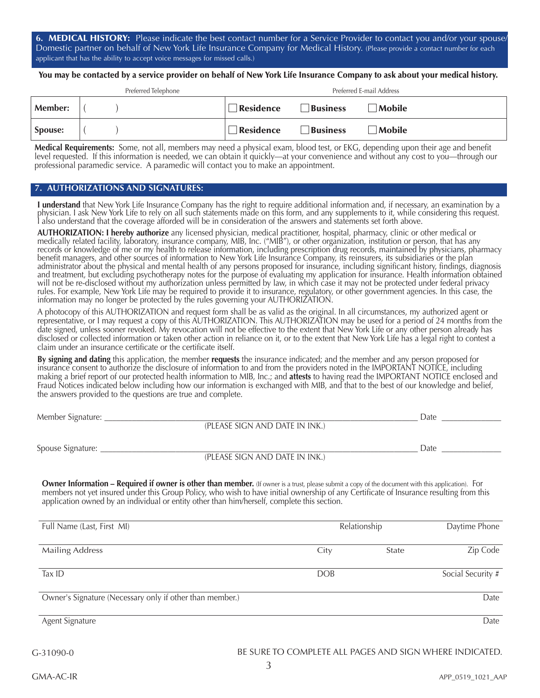**6.** MEDICAL HISTORY: Please indicate the best contact number for a Service Provider to contact you and/or your spouse/ Domestic partner on behalf of New York Life Insurance Company for Medical History. (Please provide a contact number for each applicant that has the ability to accept voice messages for missed calls.)

You may be contacted by a service provider on behalf of New York Life Insurance Company to ask about your medical history.

| Preferred Telephone |  |  | Preferred E-mail Address |                 |               |  |
|---------------------|--|--|--------------------------|-----------------|---------------|--|
| <b>Member:</b>      |  |  | Residence                | <b>Business</b> | $\Box$ Mobile |  |
| Spouse:             |  |  | Residence                | Business        | Mobile        |  |

**Medical Requirements:** Some, not all, members may need a physical exam, blood test, or EKG, depending upon their age and benefit level requested. If this information is needed, we can obtain it quickly—at your convenience and without any cost to you—through our professional paramedic service. A paramedic will contact you to make an appointment.

#### **7. AUTHORIZATIONS AND SIGNATURES:**

**I understand** that New York Life Insurance Company has the right to require additional information and, if necessary, an examination by a<br>physician. I ask New York Life to rely on all such statements made on this form, an I also understand that the coverage afforded will be in consideration of the answers and statements set forth above.

**AUTHORIZATION: I hereby authorize** any licensed physician, medical practitioner, hospital, pharmacy, clinic or other medical or<br>medically related facility, laboratory, insurance company, MIB, Inc. ("MIB"), or other organi records or knowledge of me or my health to release information, including prescription drug records, maintained by physicians, pharmacy benefit managers, and other sources of information to New York Life Insurance Company, its reinsurers, its subsidiaries or the plan administrator about the physical and mental health of any persons proposed for insurance, including significant history, findings, diagnosis and treatment, but excluding psychotherapy notes for the purpose of evaluating my application for insurance. Health information obtained will not be re-disclosed without my authorization unless permitted by law, in which case it may not be protected under federal privacy rules. For example, New York Life may be required to provide it to insurance, regulatory, or other government agencies. In this case, the information may no longer be protected by the rules governing your AUTHORIZATION.

A photocopy of this AUTHORIZATION and request form shall be as valid as the original. In all circumstances, my authorized agent or representative, or I may request a copy of this AUTHORIZATION. This AUTHORIZATION may be used for a period of 24 months from the date signed, unless sooner revoked. My revocation will not be effective to the extent that New York Life or any other person already has disclosed or collected information or taken other action in reliance on it, or to the extent that New York Life has a legal right to contest a claim under an insurance certificate or the certificate itself.

**By signing and dating** this application, the member **requests** the insurance indicated; and the member and any person proposed for insurance consent to authorize the disclosure of information to and from the providers noted in the IMPORTANT NOTICE, including making a brief report of our protected health information to MIB, Inc.; and **attests** to having read the IMPORTANT NOTICE enclosed and Fraud Notices indicated below including how our information is exchanged with MIB, and that to the best of our knowledge and belief, the answers provided to the questions are true and complete.

| Member Signature: |                                | Date |
|-------------------|--------------------------------|------|
|                   | (PLEASE SIGN AND DATE IN INK.) |      |
| Spouse Signature: |                                | Date |
|                   | (PLEASE SIGN AND DATE IN INK.) |      |

**Owner Information – Required if owner is other than member.** (If owner is a trust, please submit a copy of the document with this application). For members not yet insured under this Group Policy, who wish to have initial ownership of any Certificate of Insurance resulting from this application owned by an individual or entity other than him/herself, complete this section.

| Full Name (Last, First MI)                               | Relationship | Daytime Phone |                   |
|----------------------------------------------------------|--------------|---------------|-------------------|
| <b>Mailing Address</b>                                   | City         | State         | Zip Code          |
| Tax ID                                                   | <b>DOB</b>   |               | Social Security # |
| Owner's Signature (Necessary only if other than member.) |              |               | Date              |
| Agent Signature                                          |              |               | Date              |

G-31090-0

#### BE SURE TO COMPLETE ALL PAGES AND SIGN WHERE INDICATED.